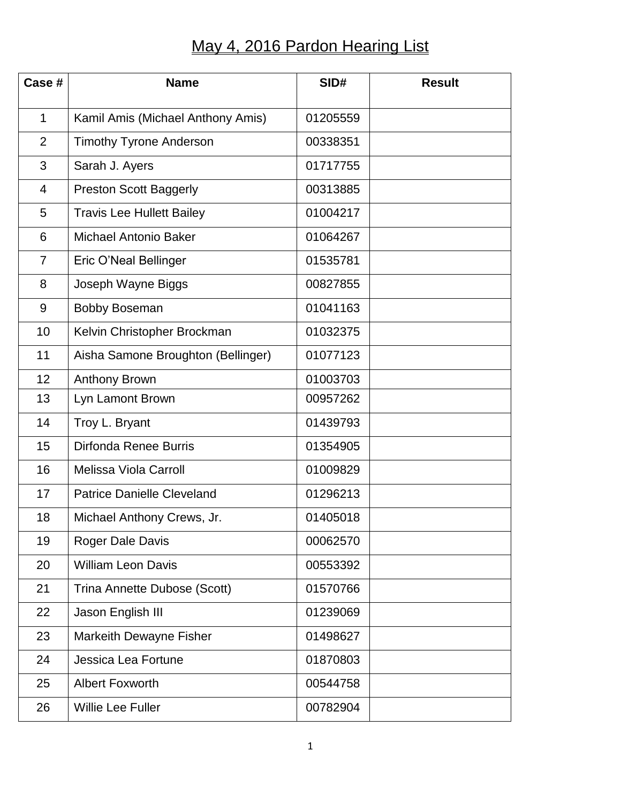## May 4, 2016 Pardon Hearing List

| Case #         | <b>Name</b>                        | SID#     | <b>Result</b> |
|----------------|------------------------------------|----------|---------------|
| $\mathbf{1}$   | Kamil Amis (Michael Anthony Amis)  | 01205559 |               |
| 2              | <b>Timothy Tyrone Anderson</b>     | 00338351 |               |
| 3              | Sarah J. Ayers                     | 01717755 |               |
| 4              | <b>Preston Scott Baggerly</b>      | 00313885 |               |
| 5              | <b>Travis Lee Hullett Bailey</b>   | 01004217 |               |
| 6              | <b>Michael Antonio Baker</b>       | 01064267 |               |
| $\overline{7}$ | Eric O'Neal Bellinger              | 01535781 |               |
| 8              | Joseph Wayne Biggs                 | 00827855 |               |
| 9              | <b>Bobby Boseman</b>               | 01041163 |               |
| 10             | Kelvin Christopher Brockman        | 01032375 |               |
| 11             | Aisha Samone Broughton (Bellinger) | 01077123 |               |
| 12             | <b>Anthony Brown</b>               | 01003703 |               |
| 13             | Lyn Lamont Brown                   | 00957262 |               |
| 14             | Troy L. Bryant                     | 01439793 |               |
| 15             | Dirfonda Renee Burris              | 01354905 |               |
| 16             | <b>Melissa Viola Carroll</b>       | 01009829 |               |
| 17             | <b>Patrice Danielle Cleveland</b>  | 01296213 |               |
| 18             | Michael Anthony Crews, Jr.         | 01405018 |               |
| 19             | Roger Dale Davis                   | 00062570 |               |
| 20             | <b>William Leon Davis</b>          | 00553392 |               |
| 21             | Trina Annette Dubose (Scott)       | 01570766 |               |
| 22             | Jason English III                  | 01239069 |               |
| 23             | Markeith Dewayne Fisher            | 01498627 |               |
| 24             | Jessica Lea Fortune                | 01870803 |               |
| 25             | <b>Albert Foxworth</b>             | 00544758 |               |
| 26             | <b>Willie Lee Fuller</b>           | 00782904 |               |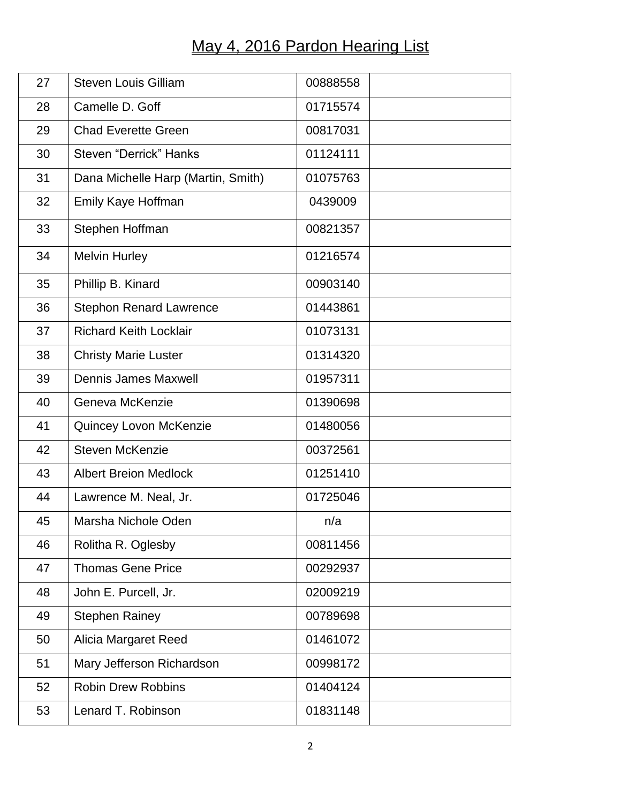## May 4, 2016 Pardon Hearing List

| 27 | <b>Steven Louis Gilliam</b>        | 00888558 |  |
|----|------------------------------------|----------|--|
| 28 | Camelle D. Goff                    | 01715574 |  |
| 29 | <b>Chad Everette Green</b>         | 00817031 |  |
| 30 | Steven "Derrick" Hanks             | 01124111 |  |
| 31 | Dana Michelle Harp (Martin, Smith) | 01075763 |  |
| 32 | Emily Kaye Hoffman                 | 0439009  |  |
| 33 | Stephen Hoffman                    | 00821357 |  |
| 34 | <b>Melvin Hurley</b>               | 01216574 |  |
| 35 | Phillip B. Kinard                  | 00903140 |  |
| 36 | <b>Stephon Renard Lawrence</b>     | 01443861 |  |
| 37 | <b>Richard Keith Locklair</b>      | 01073131 |  |
| 38 | <b>Christy Marie Luster</b>        | 01314320 |  |
| 39 | <b>Dennis James Maxwell</b>        | 01957311 |  |
| 40 | Geneva McKenzie                    | 01390698 |  |
| 41 | Quincey Lovon McKenzie             | 01480056 |  |
| 42 | <b>Steven McKenzie</b>             | 00372561 |  |
| 43 | <b>Albert Breion Medlock</b>       | 01251410 |  |
| 44 | Lawrence M. Neal, Jr.              | 01725046 |  |
| 45 | Marsha Nichole Oden                | n/a      |  |
| 46 | Rolitha R. Oglesby                 | 00811456 |  |
| 47 | <b>Thomas Gene Price</b>           | 00292937 |  |
| 48 | John E. Purcell, Jr.               | 02009219 |  |
| 49 | <b>Stephen Rainey</b>              | 00789698 |  |
| 50 | <b>Alicia Margaret Reed</b>        | 01461072 |  |
| 51 | Mary Jefferson Richardson          | 00998172 |  |
| 52 | <b>Robin Drew Robbins</b>          | 01404124 |  |
| 53 | Lenard T. Robinson                 | 01831148 |  |